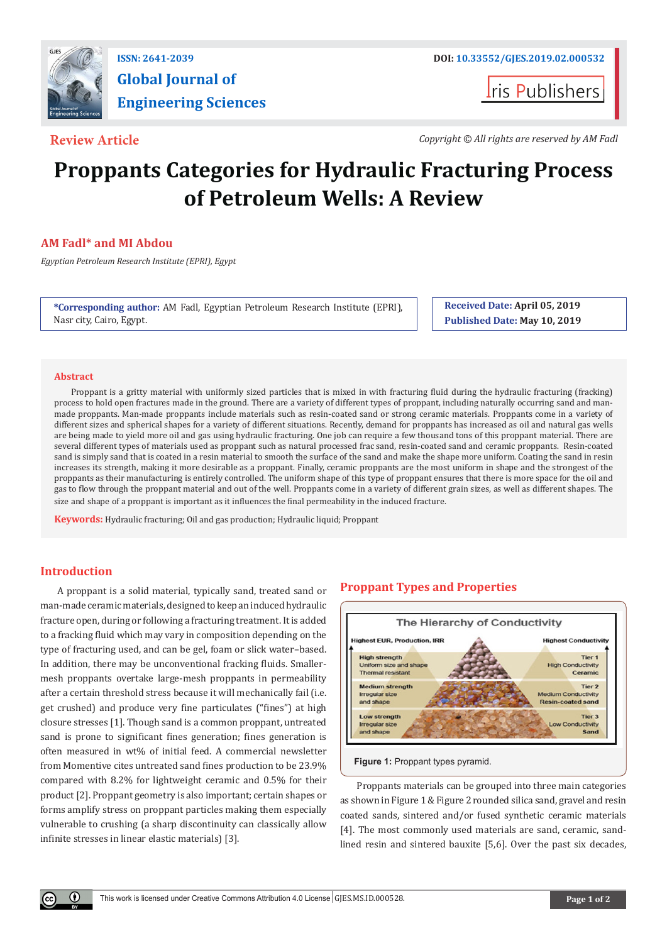

# **Global Journal of Engineering Sciences**

**I**ris Publishers

**Review Article** *Copyright © All rights are reserved by AM Fadl*

## **Proppants Categories for Hydraulic Fracturing Process of Petroleum Wells: A Review**

### **AM Fadl\* and MI Abdou**

*Egyptian Petroleum Research Institute (EPRI), Egypt*

**\*Corresponding author:** AM Fadl, Egyptian Petroleum Research Institute (EPRI), Nasr city, Cairo, Egypt.

**Received Date: April 05, 2019 Published Date: May 10, 2019**

#### **Abstract**

Proppant is a gritty material with uniformly sized particles that is mixed in with fracturing fluid during the hydraulic fracturing (fracking) process to hold open fractures made in the ground. There are a variety of different types of proppant, including naturally occurring sand and manmade proppants. Man-made proppants include materials such as resin-coated sand or strong ceramic materials. Proppants come in a variety of different sizes and spherical shapes for a variety of different situations. Recently, demand for proppants has increased as oil and natural gas wells are being made to yield more oil and gas using hydraulic fracturing. One job can require a few thousand tons of this proppant material. There are several different types of materials used as proppant such as natural processed frac sand, resin-coated sand and ceramic proppants. Resin-coated sand is simply sand that is coated in a resin material to smooth the surface of the sand and make the shape more uniform. Coating the sand in resin increases its strength, making it more desirable as a proppant. Finally, ceramic proppants are the most uniform in shape and the strongest of the proppants as their manufacturing is entirely controlled. The uniform shape of this type of proppant ensures that there is more space for the oil and gas to flow through the proppant material and out of the well. Proppants come in a variety of different grain sizes, as well as different shapes. The size and shape of a proppant is important as it influences the final permeability in the induced fracture.

**Keywords:** Hydraulic fracturing; Oil and gas production; Hydraulic liquid; Proppant

#### **Introduction**

Œ

A proppant is a solid material, typically sand, treated sand or man-made ceramic materials, designed to keep an induced hydraulic fracture open, during or following a fracturing treatment. It is added to a fracking fluid which may vary in composition depending on the type of fracturing used, and can be gel, foam or slick water–based. In addition, there may be unconventional fracking fluids. Smallermesh proppants overtake large-mesh proppants in permeability after a certain threshold stress because it will mechanically fail (i.e. get crushed) and produce very fine particulates ("fines") at high closure stresses [1]. Though sand is a common proppant, untreated sand is prone to significant fines generation; fines generation is often measured in wt% of initial feed. A commercial newsletter from Momentive cites untreated sand fines production to be 23.9% compared with 8.2% for lightweight ceramic and 0.5% for their product [2]. Proppant geometry is also important; certain shapes or forms amplify stress on proppant particles making them especially vulnerable to crushing (a sharp discontinuity can classically allow infinite stresses in linear elastic materials) [3].

#### **Proppant Types and Properties**



**Figure 1: Proppant types pyramid.** 

Proppants materials can be grouped into three main categories as shown in Figure 1 & Figure 2 rounded silica sand, gravel and resin coated sands, sintered and/or fused synthetic ceramic materials [4]. The most commonly used materials are sand, ceramic, sandlined resin and sintered bauxite [5,6]. Over the past six decades,